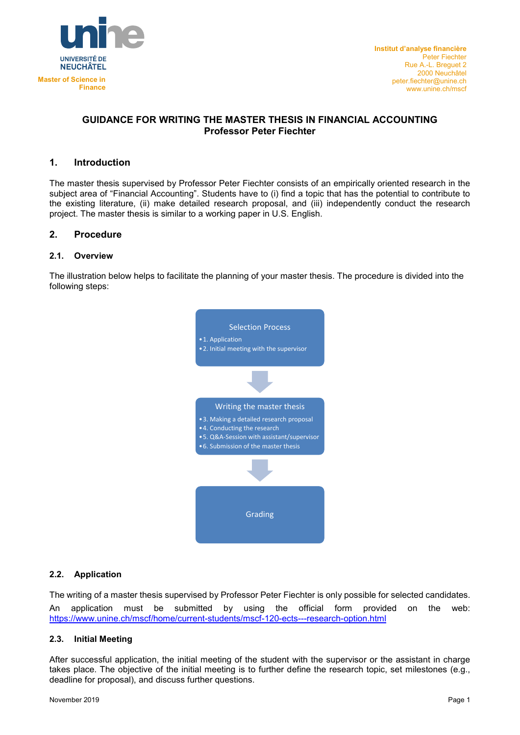

## **GUIDANCE FOR WRITING THE MASTER THESIS IN FINANCIAL ACCOUNTING Professor Peter Fiechter**

# **1. Introduction**

The master thesis supervised by Professor Peter Fiechter consists of an empirically oriented research in the subject area of "Financial Accounting". Students have to (i) find a topic that has the potential to contribute to the existing literature, (ii) make detailed research proposal, and (iii) independently conduct the research project. The master thesis is similar to a working paper in U.S. English.

### **2. Procedure**

#### **2.1. Overview**

The illustration below helps to facilitate the planning of your master thesis. The procedure is divided into the following steps:



### **2.2. Application**

The writing of a master thesis supervised by Professor Peter Fiechter is only possible for selected candidates. An application must be submitted by using the official form provided on the web: <https://www.unine.ch/mscf/home/current-students/mscf-120-ects---research-option.html>

## **2.3. Initial Meeting**

After successful application, the initial meeting of the student with the supervisor or the assistant in charge takes place. The objective of the initial meeting is to further define the research topic, set milestones (e.g., deadline for proposal), and discuss further questions.